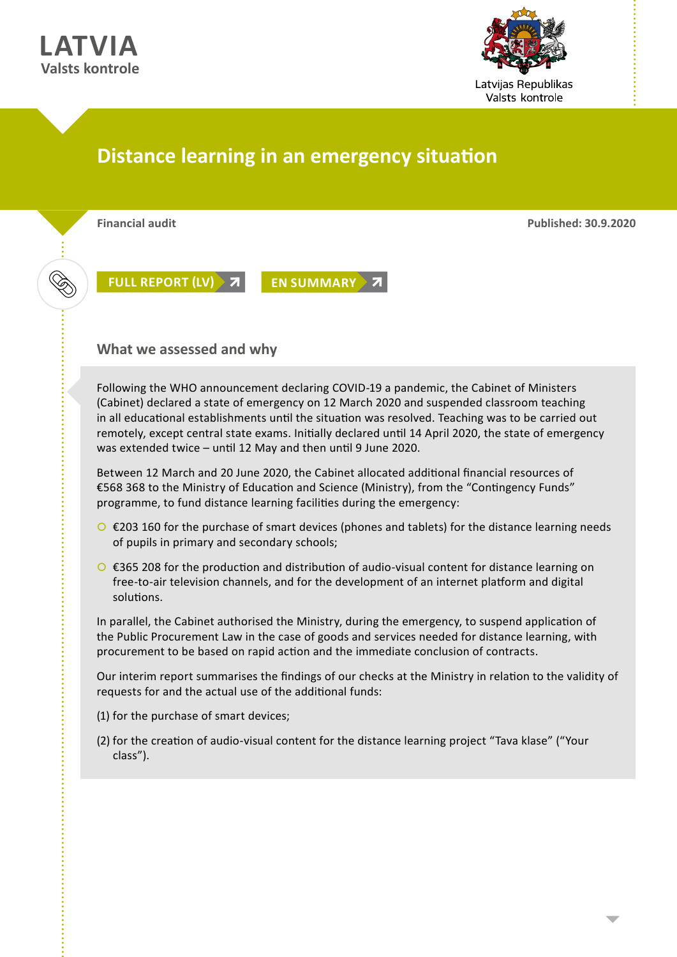



# **Distance learning in an emergency situation**



**Financial audit Published: 30.9.2020**

**[FULL REPORT \(LV\)](https://www.lrvk.gov.lv/lv/revizijas/revizijas/noslegtas-revizijas/attalinata-macibu-procesa-nodrosinasana-arkartejas-situacijas-laika) 7 [EN SUMMARY](https://www.lrvk.gov.lv/en/audit-summaries/audit-summaries/providing-a-distance-learning-process-during-an-emergency) 7** 

### **What we assessed and why**

Following the WHO announcement declaring COVID-19 a pandemic, the Cabinet of Ministers (Cabinet) declared a state of emergency on 12 March 2020 and suspended classroom teaching in all educational establishments until the situation was resolved. Teaching was to be carried out remotely, except central state exams. Initially declared until 14 April 2020, the state of emergency was extended twice – until 12 May and then until 9 June 2020.

Between 12 March and 20 June 2020, the Cabinet allocated additional financial resources of €568 368 to the Ministry of Education and Science (Ministry), from the "Contingency Funds" programme, to fund distance learning facilities during the emergency:

- $\circ$  €203 160 for the purchase of smart devices (phones and tablets) for the distance learning needs of pupils in primary and secondary schools;
- $\bigcirc$  €365 208 for the production and distribution of audio-visual content for distance learning on free-to-air television channels, and for the development of an internet platform and digital solutions.

In parallel, the Cabinet authorised the Ministry, during the emergency, to suspend application of the Public Procurement Law in the case of goods and services needed for distance learning, with procurement to be based on rapid action and the immediate conclusion of contracts.

Our interim report summarises the findings of our checks at the Ministry in relation to the validity of requests for and the actual use of the additional funds:

- (1) for the purchase of smart devices;
- (2) for the creation of audio-visual content for the distance learning project "Tava klase" ("Your class").